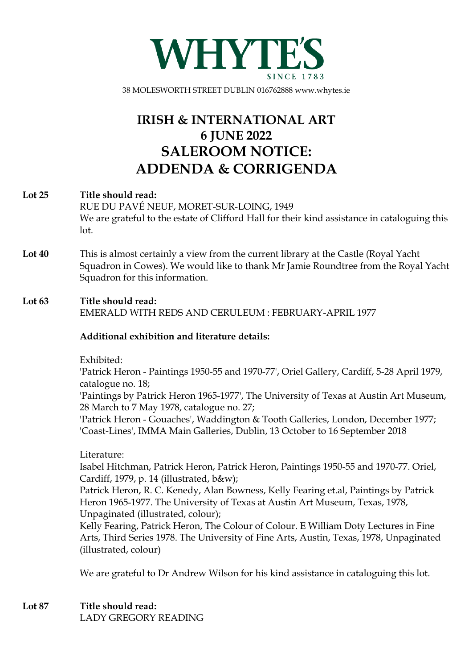

38 MOLESWORTH STREET DUBLIN 016762888 www.whytes.ie

# **IRISH & INTERNATIONAL ART 6 JUNE 2022 SALEROOM NOTICE: ADDENDA & CORRIGENDA**

## **Lot 25 Title should read:**

RUE DU PAVÉ NEUF, MORET-SUR-LOING, 1949 We are grateful to the estate of Clifford Hall for their kind assistance in cataloguing this lot.

**Lot 40** This is almost certainly a view from the current library at the Castle (Royal Yacht Squadron in Cowes). We would like to thank Mr Jamie Roundtree from the Royal Yacht Squadron for this information.

### **Lot 63 Title should read:**

EMERALD WITH REDS AND CERULEUM : FEBRUARY-APRIL 1977

### **Additional exhibition and literature details:**

Exhibited:

'Patrick Heron - Paintings 1950-55 and 1970-77', Oriel Gallery, Cardiff, 5-28 April 1979, catalogue no. 18;

'Paintings by Patrick Heron 1965-1977', The University of Texas at Austin Art Museum, 28 March to 7 May 1978, catalogue no. 27;

'Patrick Heron - Gouaches', Waddington & Tooth Galleries, London, December 1977; 'Coast-Lines', IMMA Main Galleries, Dublin, 13 October to 16 September 2018

### Literature:

Isabel Hitchman, Patrick Heron, Patrick Heron, Paintings 1950-55 and 1970-77. Oriel, Cardiff, 1979, p. 14 (illustrated, b&w);

Patrick Heron, R. C. Kenedy, Alan Bowness, Kelly Fearing et.al, Paintings by Patrick Heron 1965-1977. The University of Texas at Austin Art Museum, Texas, 1978, Unpaginated (illustrated, colour);

Kelly Fearing, Patrick Heron, The Colour of Colour. E William Doty Lectures in Fine Arts, Third Series 1978. The University of Fine Arts, Austin, Texas, 1978, Unpaginated (illustrated, colour)

We are grateful to Dr Andrew Wilson for his kind assistance in cataloguing this lot.

**Lot 87 Title should read:** LADY GREGORY READING